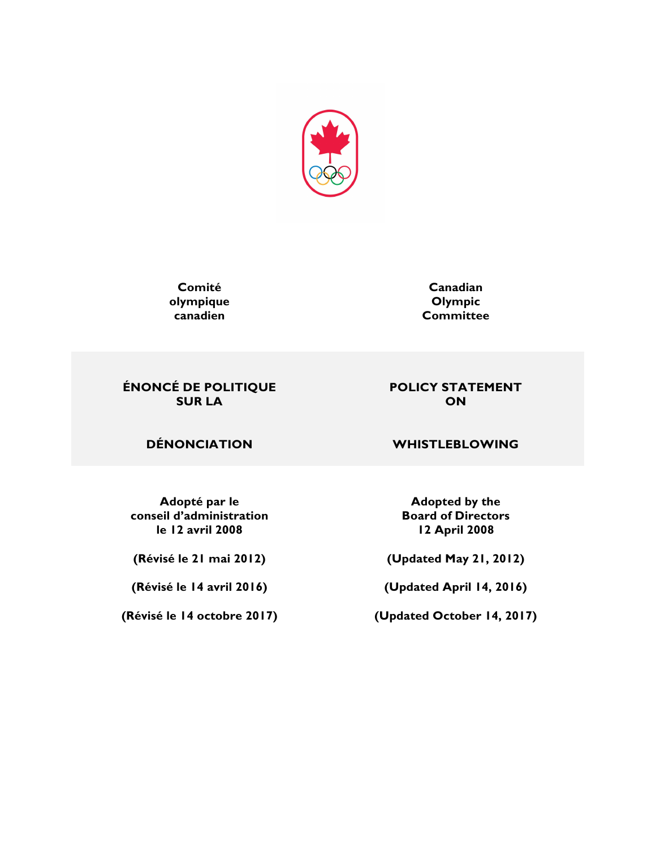

**Comité olympique canadien**

**Canadian Olympic Committee**

### **ÉNONCÉ DE POLITIQUE SUR LA**

# **ON**

**POLICY STATEMENT**

**Adopté par le conseil d'administration le 12 avril 2008**

**(Révisé le 21 mai 2012)**

**(Révisé le 14 avril 2016)**

**(Révisé le 14 octobre 2017)**

### **DÉNONCIATION WHISTLEBLOWING**

**Adopted by the Board of Directors 12 April 2008**

**(Updated May 21, 2012)**

**(Updated April 14, 2016)**

**(Updated October 14, 2017)**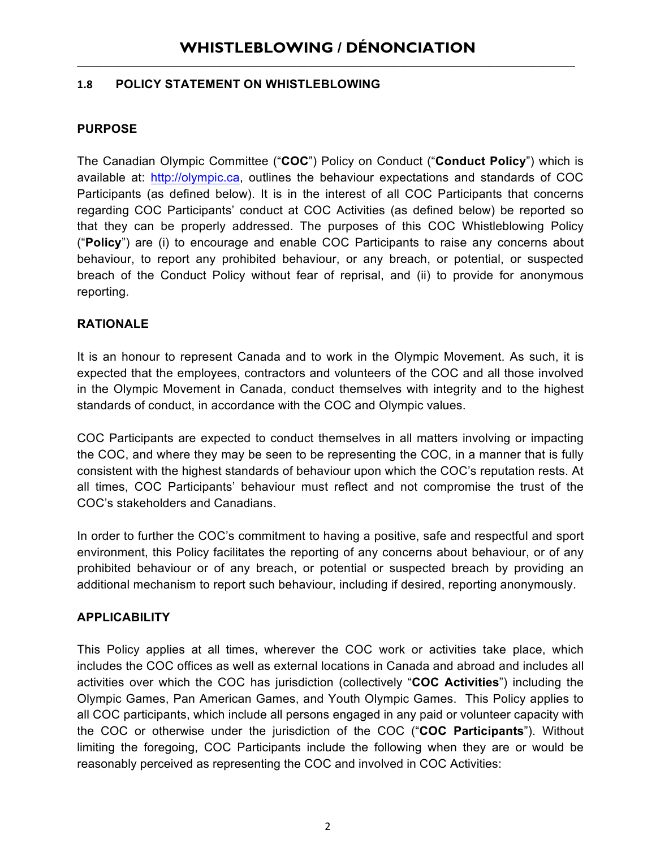### **1.8 POLICY STATEMENT ON WHISTLEBLOWING**

### **PURPOSE**

The Canadian Olympic Committee ("**COC**") Policy on Conduct ("**Conduct Policy**") which is available at: http://olympic.ca, outlines the behaviour expectations and standards of COC Participants (as defined below). It is in the interest of all COC Participants that concerns regarding COC Participants' conduct at COC Activities (as defined below) be reported so that they can be properly addressed. The purposes of this COC Whistleblowing Policy ("**Policy**") are (i) to encourage and enable COC Participants to raise any concerns about behaviour, to report any prohibited behaviour, or any breach, or potential, or suspected breach of the Conduct Policy without fear of reprisal, and (ii) to provide for anonymous reporting.

### **RATIONALE**

It is an honour to represent Canada and to work in the Olympic Movement. As such, it is expected that the employees, contractors and volunteers of the COC and all those involved in the Olympic Movement in Canada, conduct themselves with integrity and to the highest standards of conduct, in accordance with the COC and Olympic values.

COC Participants are expected to conduct themselves in all matters involving or impacting the COC, and where they may be seen to be representing the COC, in a manner that is fully consistent with the highest standards of behaviour upon which the COC's reputation rests. At all times, COC Participants' behaviour must reflect and not compromise the trust of the COC's stakeholders and Canadians.

In order to further the COC's commitment to having a positive, safe and respectful and sport environment, this Policy facilitates the reporting of any concerns about behaviour, or of any prohibited behaviour or of any breach, or potential or suspected breach by providing an additional mechanism to report such behaviour, including if desired, reporting anonymously.

### **APPLICABILITY**

This Policy applies at all times, wherever the COC work or activities take place, which includes the COC offices as well as external locations in Canada and abroad and includes all activities over which the COC has jurisdiction (collectively "**COC Activities**") including the Olympic Games, Pan American Games, and Youth Olympic Games. This Policy applies to all COC participants, which include all persons engaged in any paid or volunteer capacity with the COC or otherwise under the jurisdiction of the COC ("**COC Participants**"). Without limiting the foregoing, COC Participants include the following when they are or would be reasonably perceived as representing the COC and involved in COC Activities: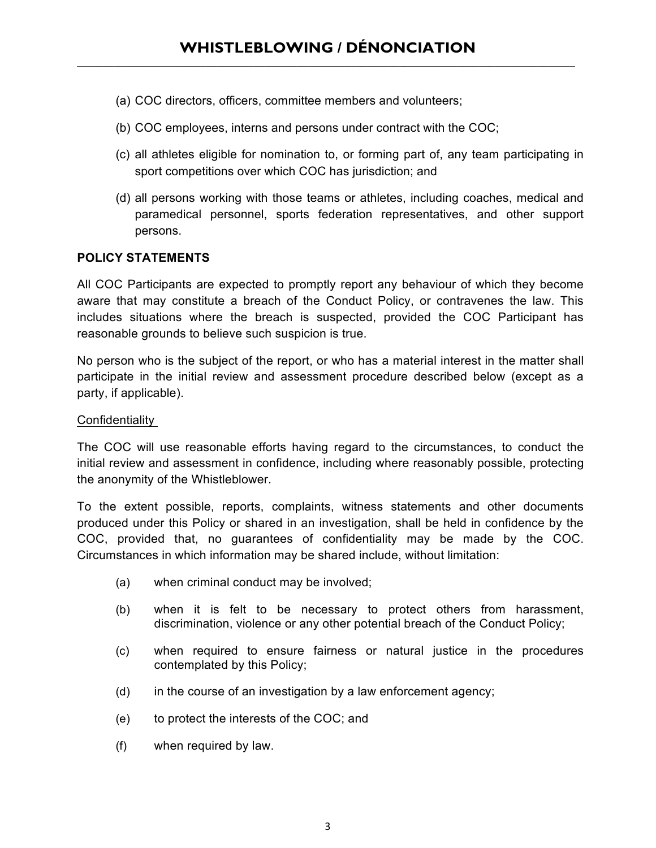- (a) COC directors, officers, committee members and volunteers;
- (b) COC employees, interns and persons under contract with the COC;
- (c) all athletes eligible for nomination to, or forming part of, any team participating in sport competitions over which COC has jurisdiction; and
- (d) all persons working with those teams or athletes, including coaches, medical and paramedical personnel, sports federation representatives, and other support persons.

### **POLICY STATEMENTS**

All COC Participants are expected to promptly report any behaviour of which they become aware that may constitute a breach of the Conduct Policy, or contravenes the law. This includes situations where the breach is suspected, provided the COC Participant has reasonable grounds to believe such suspicion is true.

No person who is the subject of the report, or who has a material interest in the matter shall participate in the initial review and assessment procedure described below (except as a party, if applicable).

### Confidentiality

The COC will use reasonable efforts having regard to the circumstances, to conduct the initial review and assessment in confidence, including where reasonably possible, protecting the anonymity of the Whistleblower.

To the extent possible, reports, complaints, witness statements and other documents produced under this Policy or shared in an investigation, shall be held in confidence by the COC, provided that, no guarantees of confidentiality may be made by the COC. Circumstances in which information may be shared include, without limitation:

- (a) when criminal conduct may be involved;
- (b) when it is felt to be necessary to protect others from harassment, discrimination, violence or any other potential breach of the Conduct Policy;
- (c) when required to ensure fairness or natural justice in the procedures contemplated by this Policy;
- (d) in the course of an investigation by a law enforcement agency;
- (e) to protect the interests of the COC; and
- (f) when required by law.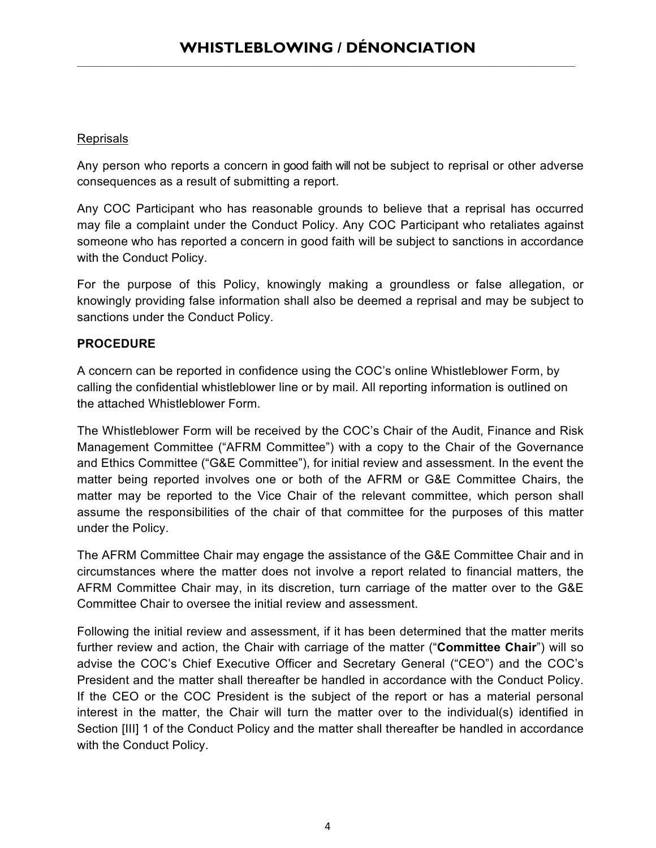### Reprisals

Any person who reports a concern in good faith will not be subject to reprisal or other adverse consequences as a result of submitting a report.

Any COC Participant who has reasonable grounds to believe that a reprisal has occurred may file a complaint under the Conduct Policy. Any COC Participant who retaliates against someone who has reported a concern in good faith will be subject to sanctions in accordance with the Conduct Policy.

For the purpose of this Policy, knowingly making a groundless or false allegation, or knowingly providing false information shall also be deemed a reprisal and may be subject to sanctions under the Conduct Policy.

### **PROCEDURE**

A concern can be reported in confidence using the COC's online Whistleblower Form, by calling the confidential whistleblower line or by mail. All reporting information is outlined on the attached Whistleblower Form.

The Whistleblower Form will be received by the COC's Chair of the Audit, Finance and Risk Management Committee ("AFRM Committee") with a copy to the Chair of the Governance and Ethics Committee ("G&E Committee"), for initial review and assessment. In the event the matter being reported involves one or both of the AFRM or G&E Committee Chairs, the matter may be reported to the Vice Chair of the relevant committee, which person shall assume the responsibilities of the chair of that committee for the purposes of this matter under the Policy.

The AFRM Committee Chair may engage the assistance of the G&E Committee Chair and in circumstances where the matter does not involve a report related to financial matters, the AFRM Committee Chair may, in its discretion, turn carriage of the matter over to the G&E Committee Chair to oversee the initial review and assessment.

Following the initial review and assessment, if it has been determined that the matter merits further review and action, the Chair with carriage of the matter ("**Committee Chair**") will so advise the COC's Chief Executive Officer and Secretary General ("CEO") and the COC's President and the matter shall thereafter be handled in accordance with the Conduct Policy. If the CEO or the COC President is the subject of the report or has a material personal interest in the matter, the Chair will turn the matter over to the individual(s) identified in Section [III] 1 of the Conduct Policy and the matter shall thereafter be handled in accordance with the Conduct Policy.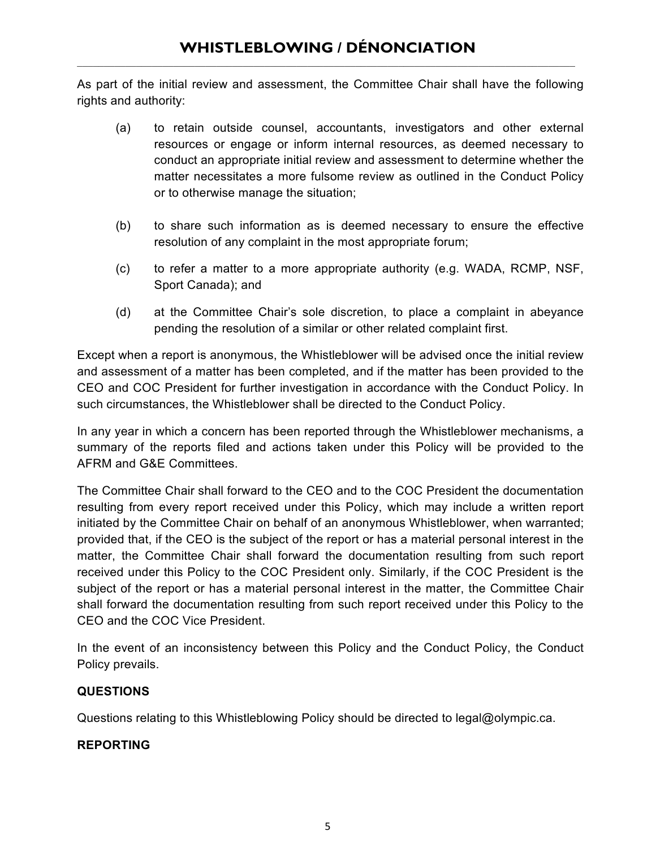As part of the initial review and assessment, the Committee Chair shall have the following rights and authority:

- (a) to retain outside counsel, accountants, investigators and other external resources or engage or inform internal resources, as deemed necessary to conduct an appropriate initial review and assessment to determine whether the matter necessitates a more fulsome review as outlined in the Conduct Policy or to otherwise manage the situation;
- (b) to share such information as is deemed necessary to ensure the effective resolution of any complaint in the most appropriate forum;
- (c) to refer a matter to a more appropriate authority (e.g. WADA, RCMP, NSF, Sport Canada); and
- (d) at the Committee Chair's sole discretion, to place a complaint in abeyance pending the resolution of a similar or other related complaint first.

Except when a report is anonymous, the Whistleblower will be advised once the initial review and assessment of a matter has been completed, and if the matter has been provided to the CEO and COC President for further investigation in accordance with the Conduct Policy. In such circumstances, the Whistleblower shall be directed to the Conduct Policy.

In any year in which a concern has been reported through the Whistleblower mechanisms, a summary of the reports filed and actions taken under this Policy will be provided to the AFRM and G&E Committees.

The Committee Chair shall forward to the CEO and to the COC President the documentation resulting from every report received under this Policy, which may include a written report initiated by the Committee Chair on behalf of an anonymous Whistleblower, when warranted; provided that, if the CEO is the subject of the report or has a material personal interest in the matter, the Committee Chair shall forward the documentation resulting from such report received under this Policy to the COC President only. Similarly, if the COC President is the subject of the report or has a material personal interest in the matter, the Committee Chair shall forward the documentation resulting from such report received under this Policy to the CEO and the COC Vice President.

In the event of an inconsistency between this Policy and the Conduct Policy, the Conduct Policy prevails.

### **QUESTIONS**

Questions relating to this Whistleblowing Policy should be directed to legal@olympic.ca.

### **REPORTING**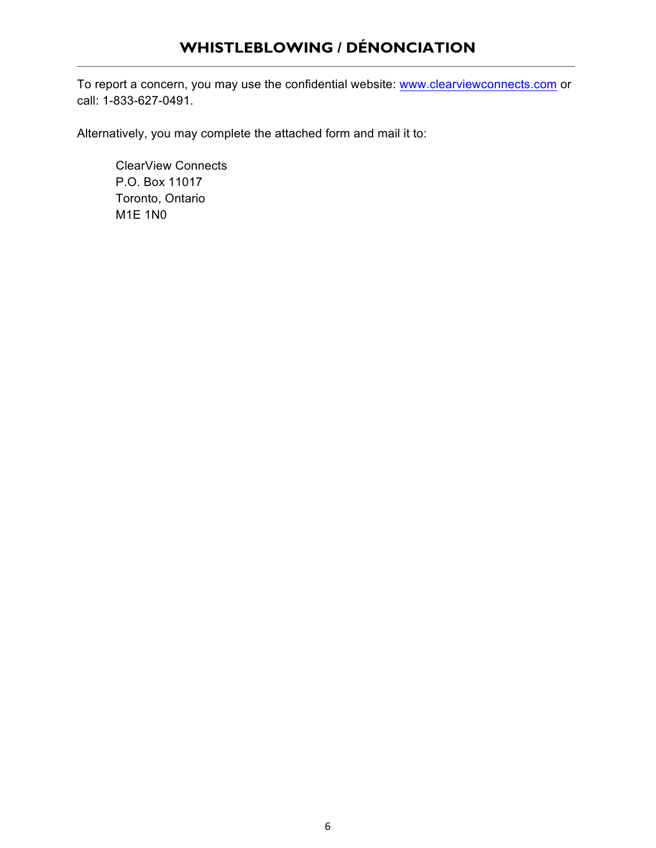To report a concern, you may use the confidential website: www.clearviewconnects.com or call: 1-833-627-0491.

Alternatively, you may complete the attached form and mail it to:

ClearView Connects P.O. Box 11017 Toronto, Ontario M1E 1N0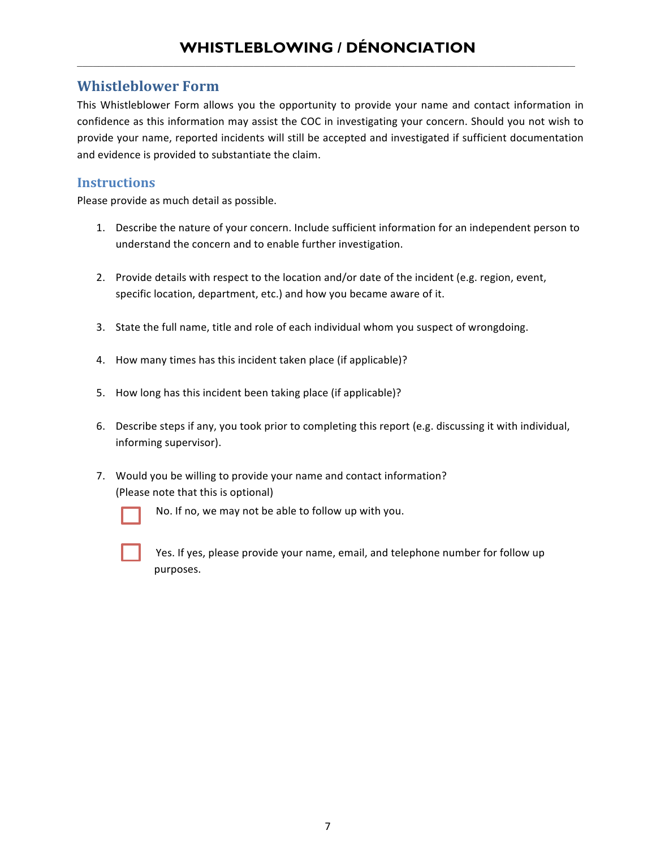### **Whistleblower Form**

This Whistleblower Form allows you the opportunity to provide your name and contact information in confidence as this information may assist the COC in investigating your concern. Should you not wish to provide your name, reported incidents will still be accepted and investigated if sufficient documentation and evidence is provided to substantiate the claim.

### **Instructions**

Please provide as much detail as possible.

- 1. Describe the nature of your concern. Include sufficient information for an independent person to understand the concern and to enable further investigation.
- 2. Provide details with respect to the location and/or date of the incident (e.g. region, event, specific location, department, etc.) and how you became aware of it.
- 3. State the full name, title and role of each individual whom you suspect of wrongdoing.
- 4. How many times has this incident taken place (if applicable)?
- 5. How long has this incident been taking place (if applicable)?
- 6. Describe steps if any, you took prior to completing this report (e.g. discussing it with individual, informing supervisor).
- 7. Would you be willing to provide your name and contact information? (Please note that this is optional)



- No. If no, we may not be able to follow up with you.
- Yes. If yes, please provide your name, email, and telephone number for follow up purposes.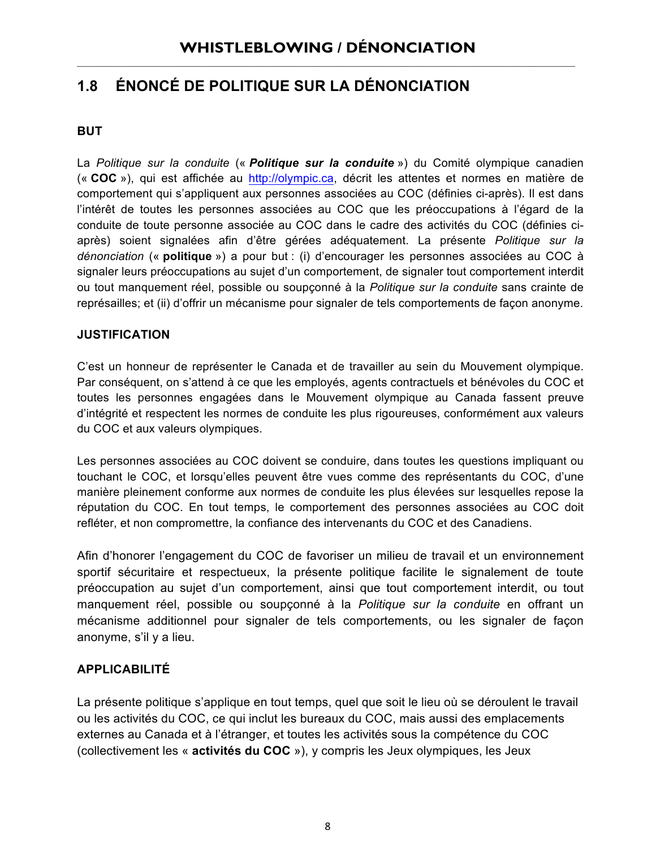### **1.8 ÉNONCÉ DE POLITIQUE SUR LA DÉNONCIATION**

### **BUT**

La *Politique sur la conduite* (« *Politique sur la conduite* ») du Comité olympique canadien (« **COC** »), qui est affichée au http://olympic.ca, décrit les attentes et normes en matière de comportement qui s'appliquent aux personnes associées au COC (définies ci-après). Il est dans l'intérêt de toutes les personnes associées au COC que les préoccupations à l'égard de la conduite de toute personne associée au COC dans le cadre des activités du COC (définies ciaprès) soient signalées afin d'être gérées adéquatement. La présente *Politique sur la dénonciation* (« **politique** ») a pour but : (i) d'encourager les personnes associées au COC à signaler leurs préoccupations au sujet d'un comportement, de signaler tout comportement interdit ou tout manquement réel, possible ou soupçonné à la *Politique sur la conduite* sans crainte de représailles; et (ii) d'offrir un mécanisme pour signaler de tels comportements de façon anonyme.

### **JUSTIFICATION**

C'est un honneur de représenter le Canada et de travailler au sein du Mouvement olympique. Par conséquent, on s'attend à ce que les employés, agents contractuels et bénévoles du COC et toutes les personnes engagées dans le Mouvement olympique au Canada fassent preuve d'intégrité et respectent les normes de conduite les plus rigoureuses, conformément aux valeurs du COC et aux valeurs olympiques.

Les personnes associées au COC doivent se conduire, dans toutes les questions impliquant ou touchant le COC, et lorsqu'elles peuvent être vues comme des représentants du COC, d'une manière pleinement conforme aux normes de conduite les plus élevées sur lesquelles repose la réputation du COC. En tout temps, le comportement des personnes associées au COC doit refléter, et non compromettre, la confiance des intervenants du COC et des Canadiens.

Afin d'honorer l'engagement du COC de favoriser un milieu de travail et un environnement sportif sécuritaire et respectueux, la présente politique facilite le signalement de toute préoccupation au sujet d'un comportement, ainsi que tout comportement interdit, ou tout manquement réel, possible ou soupçonné à la *Politique sur la conduite* en offrant un mécanisme additionnel pour signaler de tels comportements, ou les signaler de façon anonyme, s'il y a lieu.

### **APPLICABILITÉ**

La présente politique s'applique en tout temps, quel que soit le lieu où se déroulent le travail ou les activités du COC, ce qui inclut les bureaux du COC, mais aussi des emplacements externes au Canada et à l'étranger, et toutes les activités sous la compétence du COC (collectivement les « **activités du COC** »), y compris les Jeux olympiques, les Jeux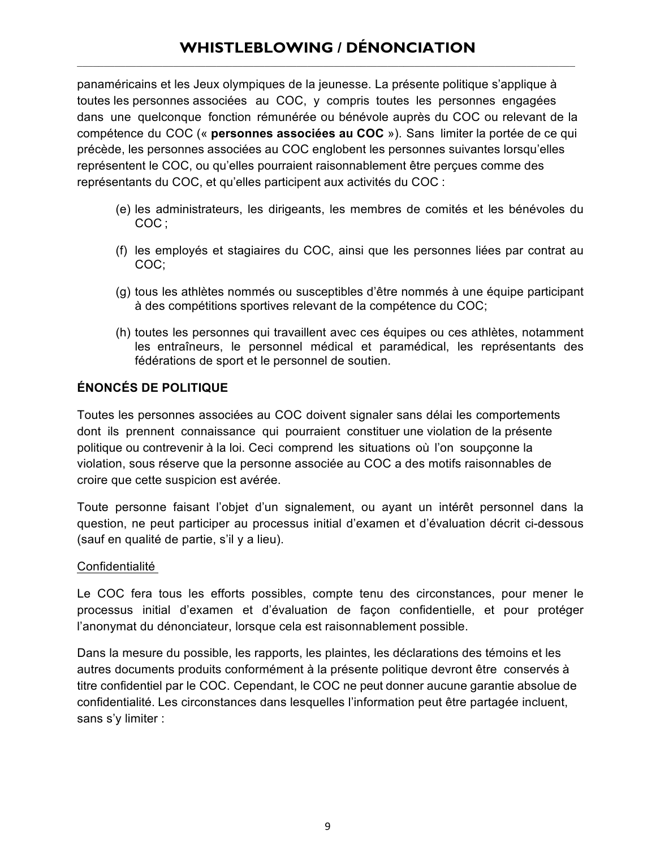panaméricains et les Jeux olympiques de la jeunesse. La présente politique s'applique à toutes les personnes associées au COC, y compris toutes les personnes engagées dans une quelconque fonction rémunérée ou bénévole auprès du COC ou relevant de la compétence du COC (« **personnes associées au COC** »). Sans limiter la portée de ce qui précède, les personnes associées au COC englobent les personnes suivantes lorsqu'elles représentent le COC, ou qu'elles pourraient raisonnablement être perçues comme des représentants du COC, et qu'elles participent aux activités du COC :

- (e) les administrateurs, les dirigeants, les membres de comités et les bénévoles du COC ;
- (f) les employés et stagiaires du COC, ainsi que les personnes liées par contrat au COC;
- (g) tous les athlètes nommés ou susceptibles d'être nommés à une équipe participant à des compétitions sportives relevant de la compétence du COC;
- (h) toutes les personnes qui travaillent avec ces équipes ou ces athlètes, notamment les entraîneurs, le personnel médical et paramédical, les représentants des fédérations de sport et le personnel de soutien.

### **ÉNONCÉS DE POLITIQUE**

Toutes les personnes associées au COC doivent signaler sans délai les comportements dont ils prennent connaissance qui pourraient constituer une violation de la présente politique ou contrevenir à la loi. Ceci comprend les situations où l'on soupçonne la violation, sous réserve que la personne associée au COC a des motifs raisonnables de croire que cette suspicion est avérée.

Toute personne faisant l'objet d'un signalement, ou ayant un intérêt personnel dans la question, ne peut participer au processus initial d'examen et d'évaluation décrit ci-dessous (sauf en qualité de partie, s'il y a lieu).

#### Confidentialité

Le COC fera tous les efforts possibles, compte tenu des circonstances, pour mener le processus initial d'examen et d'évaluation de façon confidentielle, et pour protéger l'anonymat du dénonciateur, lorsque cela est raisonnablement possible.

Dans la mesure du possible, les rapports, les plaintes, les déclarations des témoins et les autres documents produits conformément à la présente politique devront être conservés à titre confidentiel par le COC. Cependant, le COC ne peut donner aucune garantie absolue de confidentialité. Les circonstances dans lesquelles l'information peut être partagée incluent, sans s'y limiter :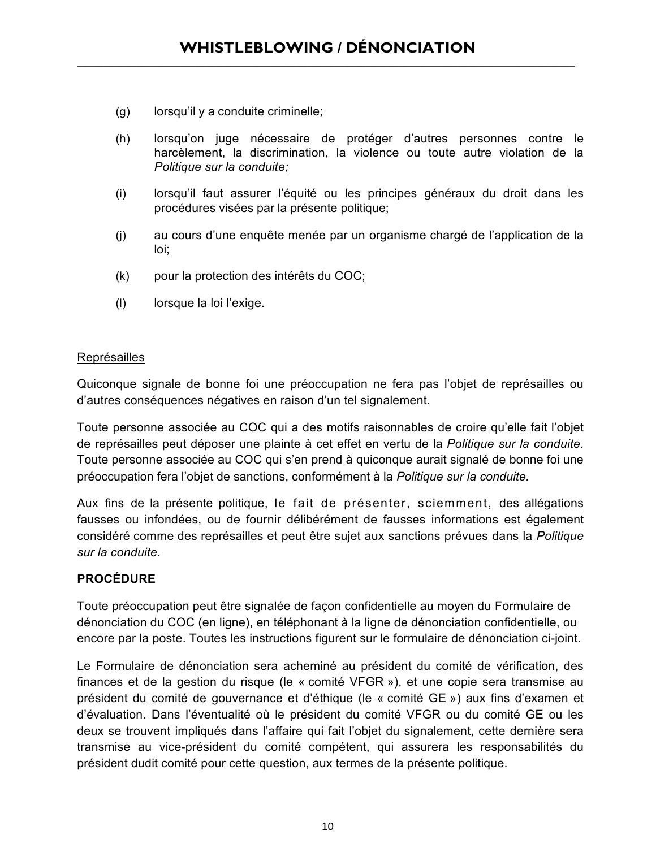- (g) lorsqu'il y a conduite criminelle;
- (h) lorsqu'on juge nécessaire de protéger d'autres personnes contre le harcèlement, la discrimination, la violence ou toute autre violation de la *Politique sur la conduite;*
- (i) lorsqu'il faut assurer l'équité ou les principes généraux du droit dans les procédures visées par la présente politique;
- (j) au cours d'une enquête menée par un organisme chargé de l'application de la loi;
- (k) pour la protection des intérêts du COC;
- (l) lorsque la loi l'exige.

#### Représailles

Quiconque signale de bonne foi une préoccupation ne fera pas l'objet de représailles ou d'autres conséquences négatives en raison d'un tel signalement.

Toute personne associée au COC qui a des motifs raisonnables de croire qu'elle fait l'objet de représailles peut déposer une plainte à cet effet en vertu de la *Politique sur la conduite.* Toute personne associée au COC qui s'en prend à quiconque aurait signalé de bonne foi une préoccupation fera l'objet de sanctions, conformément à la *Politique sur la conduite.*

Aux fins de la présente politique, le fait de présenter, sciemment, des allégations fausses ou infondées, ou de fournir délibérément de fausses informations est également considéré comme des représailles et peut être sujet aux sanctions prévues dans la *Politique sur la conduite.*

### **PROCÉDURE**

Toute préoccupation peut être signalée de façon confidentielle au moyen du Formulaire de dénonciation du COC (en ligne), en téléphonant à la ligne de dénonciation confidentielle, ou encore par la poste. Toutes les instructions figurent sur le formulaire de dénonciation ci-joint.

Le Formulaire de dénonciation sera acheminé au président du comité de vérification, des finances et de la gestion du risque (le « comité VFGR »), et une copie sera transmise au président du comité de gouvernance et d'éthique (le « comité GE ») aux fins d'examen et d'évaluation. Dans l'éventualité où le président du comité VFGR ou du comité GE ou les deux se trouvent impliqués dans l'affaire qui fait l'objet du signalement, cette dernière sera transmise au vice-président du comité compétent, qui assurera les responsabilités du président dudit comité pour cette question, aux termes de la présente politique.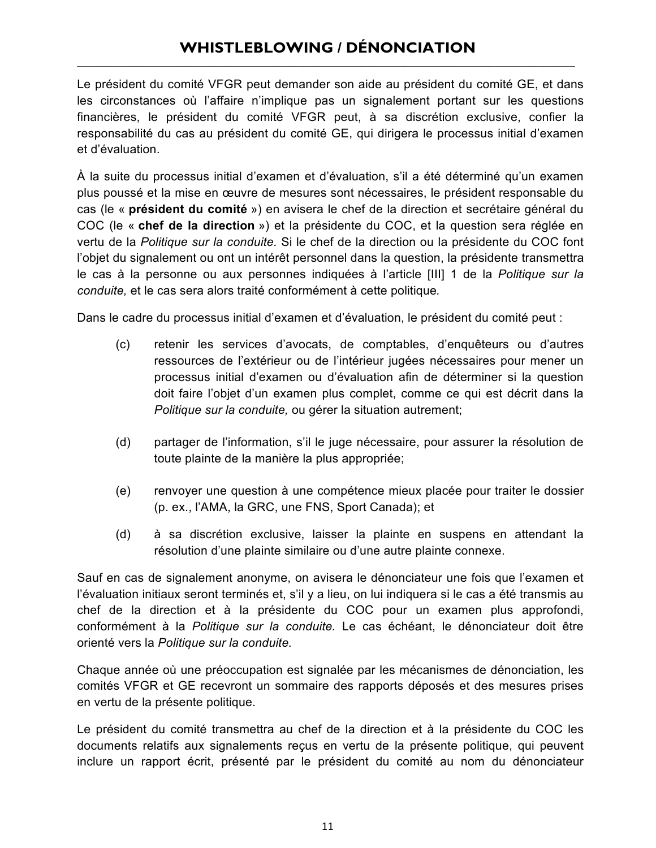Le président du comité VFGR peut demander son aide au président du comité GE, et dans les circonstances où l'affaire n'implique pas un signalement portant sur les questions financières, le président du comité VFGR peut, à sa discrétion exclusive, confier la responsabilité du cas au président du comité GE, qui dirigera le processus initial d'examen et d'évaluation.

À la suite du processus initial d'examen et d'évaluation, s'il a été déterminé qu'un examen plus poussé et la mise en œuvre de mesures sont nécessaires, le président responsable du cas (le « **président du comité** ») en avisera le chef de la direction et secrétaire général du COC (le « **chef de la direction** ») et la présidente du COC, et la question sera réglée en vertu de la *Politique sur la conduite.* Si le chef de la direction ou la présidente du COC font l'objet du signalement ou ont un intérêt personnel dans la question, la présidente transmettra le cas à la personne ou aux personnes indiquées à l'article [III] 1 de la *Politique sur la conduite,* et le cas sera alors traité conformément à cette politique*.*

Dans le cadre du processus initial d'examen et d'évaluation, le président du comité peut :

- (c) retenir les services d'avocats, de comptables, d'enquêteurs ou d'autres ressources de l'extérieur ou de l'intérieur jugées nécessaires pour mener un processus initial d'examen ou d'évaluation afin de déterminer si la question doit faire l'objet d'un examen plus complet, comme ce qui est décrit dans la *Politique sur la conduite,* ou gérer la situation autrement;
- (d) partager de l'information, s'il le juge nécessaire, pour assurer la résolution de toute plainte de la manière la plus appropriée;
- (e) renvoyer une question à une compétence mieux placée pour traiter le dossier (p. ex., l'AMA, la GRC, une FNS, Sport Canada); et
- (d) à sa discrétion exclusive, laisser la plainte en suspens en attendant la résolution d'une plainte similaire ou d'une autre plainte connexe.

Sauf en cas de signalement anonyme, on avisera le dénonciateur une fois que l'examen et l'évaluation initiaux seront terminés et, s'il y a lieu, on lui indiquera si le cas a été transmis au chef de la direction et à la présidente du COC pour un examen plus approfondi, conformément à la *Politique sur la conduite.* Le cas échéant, le dénonciateur doit être orienté vers la *Politique sur la conduite.*

Chaque année où une préoccupation est signalée par les mécanismes de dénonciation, les comités VFGR et GE recevront un sommaire des rapports déposés et des mesures prises en vertu de la présente politique.

Le président du comité transmettra au chef de la direction et à la présidente du COC les documents relatifs aux signalements reçus en vertu de la présente politique, qui peuvent inclure un rapport écrit, présenté par le président du comité au nom du dénonciateur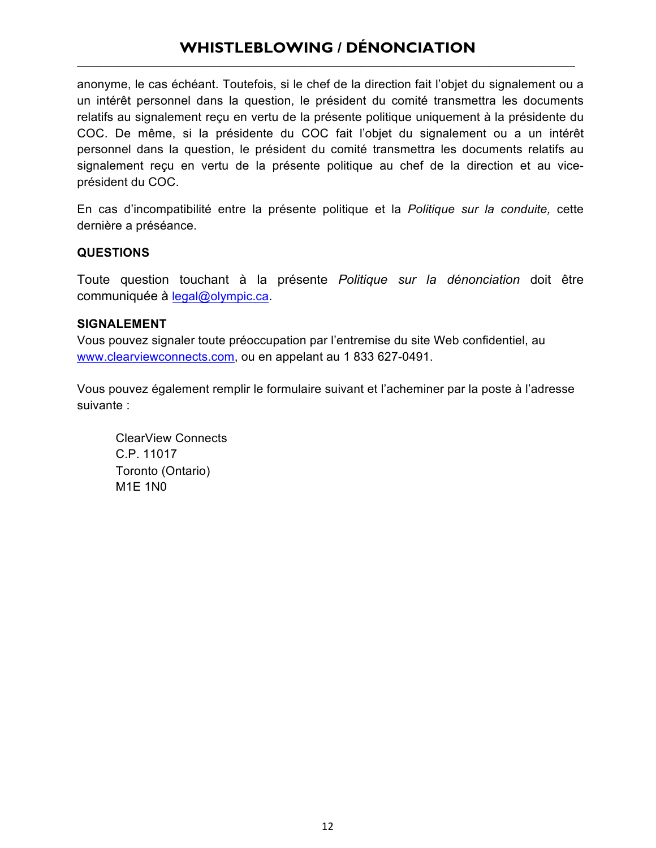anonyme, le cas échéant. Toutefois, si le chef de la direction fait l'objet du signalement ou a un intérêt personnel dans la question, le président du comité transmettra les documents relatifs au signalement reçu en vertu de la présente politique uniquement à la présidente du COC. De même, si la présidente du COC fait l'objet du signalement ou a un intérêt personnel dans la question, le président du comité transmettra les documents relatifs au signalement reçu en vertu de la présente politique au chef de la direction et au viceprésident du COC.

En cas d'incompatibilité entre la présente politique et la *Politique sur la conduite,* cette dernière a préséance.

#### **QUESTIONS**

Toute question touchant à la présente *Politique sur la dénonciation* doit être communiquée à legal@olympic.ca.

#### **SIGNALEMENT**

Vous pouvez signaler toute préoccupation par l'entremise du site Web confidentiel, au www.clearviewconnects.com, ou en appelant au 1 833 627-0491.

Vous pouvez également remplir le formulaire suivant et l'acheminer par la poste à l'adresse suivante :

ClearView Connects C.P. 11017 Toronto (Ontario) M1E 1N0